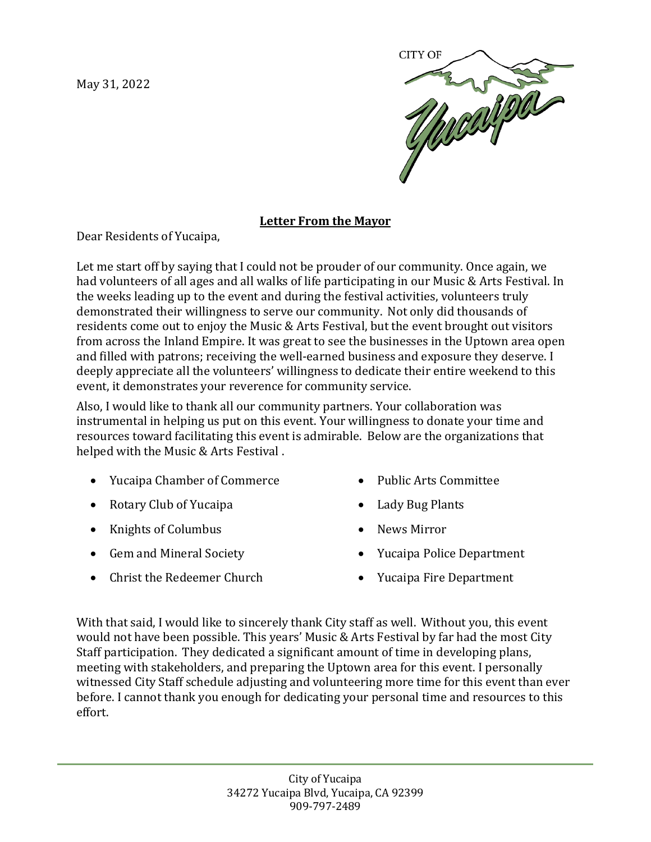May 31, 2022



## **Letter From the Mayor**

Dear Residents of Yucaipa,

Let me start off by saying that I could not be prouder of our community. Once again, we had volunteers of all ages and all walks of life participating in our Music & Arts Festival. In the weeks leading up to the event and during the festival activities, volunteers truly demonstrated their willingness to serve our community. Not only did thousands of residents come out to enjoy the Music & Arts Festival, but the event brought out visitors from across the Inland Empire. It was great to see the businesses in the Uptown area open and filled with patrons; receiving the well-earned business and exposure they deserve. I deeply appreciate all the volunteers' willingness to dedicate their entire weekend to this event, it demonstrates your reverence for community service.

Also, I would like to thank all our community partners. Your collaboration was instrumental in helping us put on this event. Your willingness to donate your time and resources toward facilitating this event is admirable. Below are the organizations that helped with the Music & Arts Festival .

- Yucaipa Chamber of Commerce
- Rotary Club of Yucaipa
- Knights of Columbus
- Gem and Mineral Society
- Christ the Redeemer Church
- Public Arts Committee
- Lady Bug Plants
- News Mirror
- Yucaipa Police Department
- Yucaipa Fire Department

With that said, I would like to sincerely thank City staff as well. Without you, this event would not have been possible. This years' Music & Arts Festival by far had the most City Staff participation. They dedicated a significant amount of time in developing plans, meeting with stakeholders, and preparing the Uptown area for this event. I personally witnessed City Staff schedule adjusting and volunteering more time for this event than ever before. I cannot thank you enough for dedicating your personal time and resources to this effort.